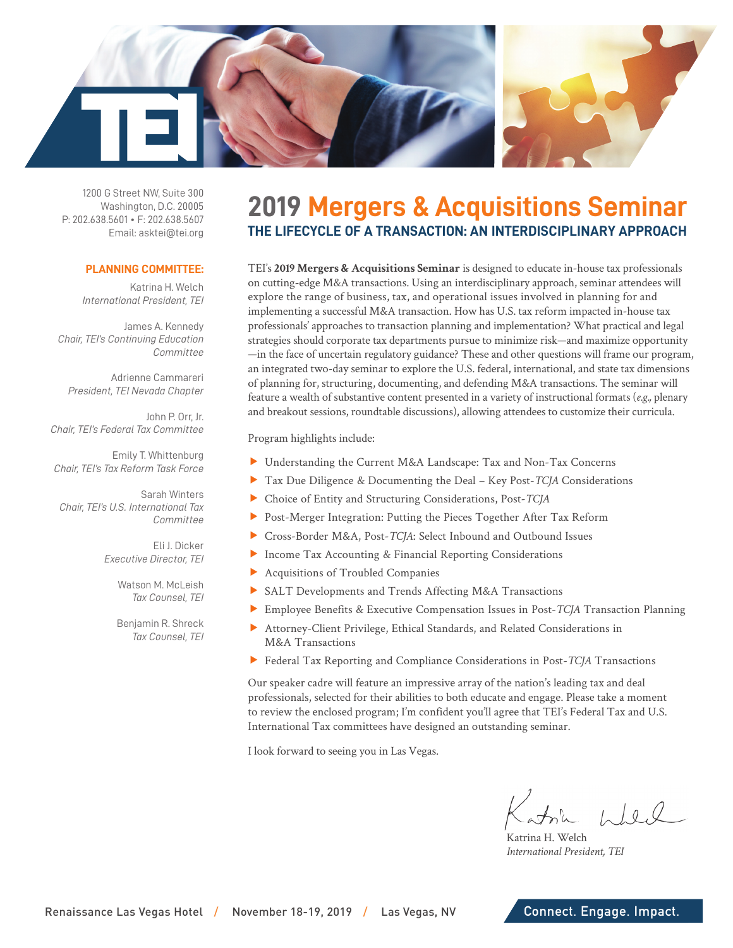

1200 G Street NW, Suite 300 Washington, D.C. 20005 P: 202.638.5601 • F: 202.638.5607 Email: asktei@tei.org

#### **PLANNING COMMITTEE:**

Katrina H. Welch *International President, TEI*

James A. Kennedy *Chair, TEI's Continuing Education Committee*

Adrienne Cammareri *President, TEI Nevada Chapter*

John P. Orr, Jr. *Chair, TEI's Federal Tax Committee*

Emily T. Whittenburg *Chair, TEI's Tax Reform Task Force*

Sarah Winters *Chair, TEI's U.S. International Tax Committee*

> Eli J. Dicker *Executive Director, TEI*

> > Watson M. McLeish *Tax Counsel, TEI*

Benjamin R. Shreck *Tax Counsel, TEI*

### **2019 Mergers & Acquisitions Seminar THE LIFECYCLE OF A TRANSACTION: AN INTERDISCIPLINARY APPROACH**

TEI's **2019 Mergers & Acquisitions Seminar** is designed to educate in-house tax professionals on cutting-edge M&A transactions. Using an interdisciplinary approach, seminar attendees will explore the range of business, tax, and operational issues involved in planning for and implementing a successful M&A transaction. How has U.S. tax reform impacted in-house tax professionals' approaches to transaction planning and implementation? What practical and legal strategies should corporate tax departments pursue to minimize risk—and maximize opportunity —in the face of uncertain regulatory guidance? These and other questions will frame our program, an integrated two-day seminar to explore the U.S. federal, international, and state tax dimensions of planning for, structuring, documenting, and defending M&A transactions. The seminar will feature a wealth of substantive content presented in a variety of instructional formats (*e.g.,* plenary and breakout sessions, roundtable discussions), allowing attendees to customize their curricula.

Program highlights include:

- f Understanding the Current M&A Landscape: Tax and Non-Tax Concerns
- f Tax Due Diligence & Documenting the Deal Key Post-*TCJA* Considerations
- f Choice of Entity and Structuring Considerations, Post-*TCJA*
- Post-Merger Integration: Putting the Pieces Together After Tax Reform
- f Cross-Border M&A, Post-*TCJA*: Select Inbound and Outbound Issues
- $\blacktriangleright$  Income Tax Accounting & Financial Reporting Considerations
- **Acquisitions of Troubled Companies**
- f SALT Developments and Trends Affecting M&A Transactions
- f Employee Benefits & Executive Compensation Issues in Post-*TCJA* Transaction Planning
- f Attorney-Client Privilege, Ethical Standards, and Related Considerations in M&A Transactions
- **Federal Tax Reporting and Compliance Considerations in Post-***TCJA* **Transactions**

Our speaker cadre will feature an impressive array of the nation's leading tax and deal professionals, selected for their abilities to both educate and engage. Please take a moment to review the enclosed program; I'm confident you'll agree that TEI's Federal Tax and U.S. International Tax committees have designed an outstanding seminar.

I look forward to seeing you in Las Vegas.

Katrina H. Welch *International President, TEI*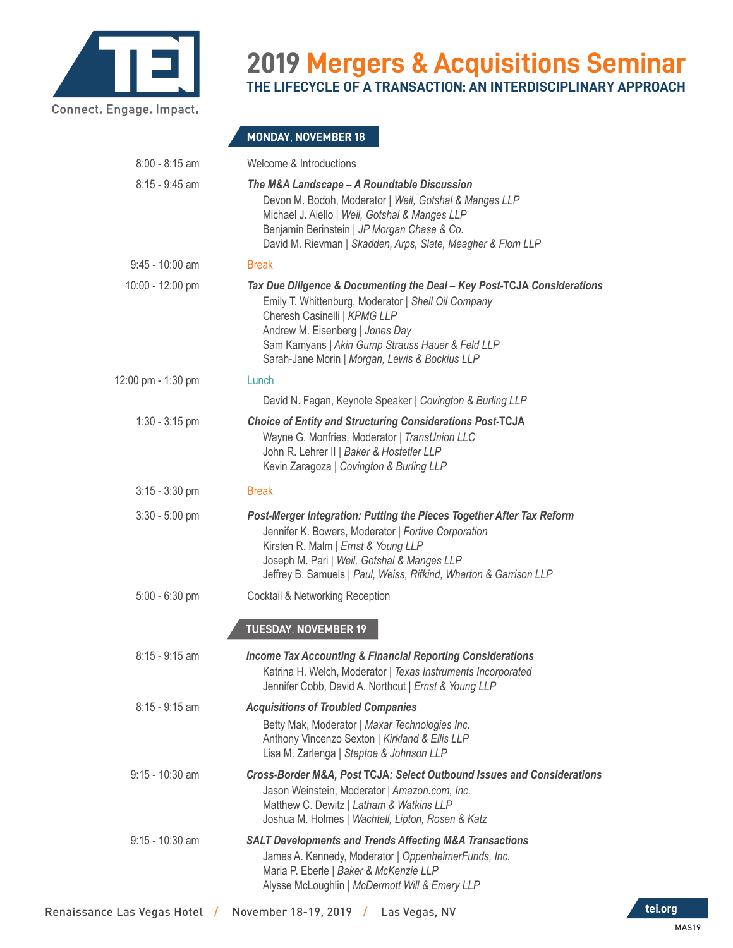

## **2019 Mergers & Acquisitions Seminar**

**THE LIFECYCLE OF A TRANSACTION: AN INTERDISCIPLINARY APPROACH**

**MONDAY**, **NOVEMBER 18**

| $8:00 - 8:15$ am   | Welcome & Introductions                                                                                                                                                                                                                                                                                 |
|--------------------|---------------------------------------------------------------------------------------------------------------------------------------------------------------------------------------------------------------------------------------------------------------------------------------------------------|
| $8:15 - 9:45$ am   | The M&A Landscape - A Roundtable Discussion<br>Devon M. Bodoh, Moderator   Weil, Gotshal & Manges LLP<br>Michael J. Aiello   Weil, Gotshal & Manges LLP<br>Benjamin Berinstein   JP Morgan Chase & Co.<br>David M. Rievman   Skadden, Arps, Slate, Meagher & Flom LLP                                   |
| $9:45 - 10:00$ am  | <b>Break</b>                                                                                                                                                                                                                                                                                            |
| 10:00 - 12:00 pm   | Tax Due Diligence & Documenting the Deal - Key Post-TCJA Considerations<br>Emily T. Whittenburg, Moderator   Shell Oil Company<br>Cheresh Casinelli   KPMG LLP<br>Andrew M. Eisenberg   Jones Day<br>Sam Kamyans   Akin Gump Strauss Hauer & Feld LLP<br>Sarah-Jane Morin   Morgan, Lewis & Bockius LLP |
| 12:00 pm - 1:30 pm | Lunch                                                                                                                                                                                                                                                                                                   |
|                    | David N. Fagan, Keynote Speaker   Covington & Burling LLP                                                                                                                                                                                                                                               |
| $1:30 - 3:15$ pm   | <b>Choice of Entity and Structuring Considerations Post-TCJA</b><br>Wayne G. Monfries, Moderator   TransUnion LLC<br>John R. Lehrer II   Baker & Hostetler LLP<br>Kevin Zaragoza   Covington & Burling LLP                                                                                              |
| $3:15 - 3:30$ pm   | <b>Break</b>                                                                                                                                                                                                                                                                                            |
| $3:30 - 5:00$ pm   | Post-Merger Integration: Putting the Pieces Together After Tax Reform<br>Jennifer K. Bowers, Moderator   Fortive Corporation<br>Kirsten R. Malm   Ernst & Young LLP<br>Joseph M. Pari   Weil, Gotshal & Manges LLP<br>Jeffrey B. Samuels   Paul, Weiss, Rifkind, Wharton & Garrison LLP                 |
| $5:00 - 6:30$ pm   | Cocktail & Networking Reception                                                                                                                                                                                                                                                                         |
|                    | <b>TUESDAY, NOVEMBER 19</b>                                                                                                                                                                                                                                                                             |
| $8:15 - 9:15$ am   | <b>Income Tax Accounting &amp; Financial Reporting Considerations</b><br>Katrina H. Welch, Moderator   Texas Instruments Incorporated<br>Jennifer Cobb, David A. Northcut   Ernst & Young LLP                                                                                                           |
| $8:15 - 9:15$ am   | <b>Acquisitions of Troubled Companies</b><br>Betty Mak, Moderator   Maxar Technologies Inc.<br>Anthony Vincenzo Sexton   Kirkland & Ellis LLP<br>Lisa M. Zarlenga   Steptoe & Johnson LLP                                                                                                               |
| $9:15 - 10:30$ am  | Cross-Border M&A, Post TCJA: Select Outbound Issues and Considerations<br>Jason Weinstein, Moderator   Amazon.com, Inc.<br>Matthew C. Dewitz   Latham & Watkins LLP<br>Joshua M. Holmes   Wachtell, Lipton, Rosen & Katz                                                                                |
| $9:15 - 10:30$ am  | <b>SALT Developments and Trends Affecting M&amp;A Transactions</b><br>James A. Kennedy, Moderator   OppenheimerFunds, Inc.<br>Maria P. Eberle   Baker & McKenzie LLP<br>Alysse McLoughlin   McDermott Will & Emery LLP                                                                                  |

Renaissance Las Vegas Hotel / November 18-19, 2019 / Las Vegas, NV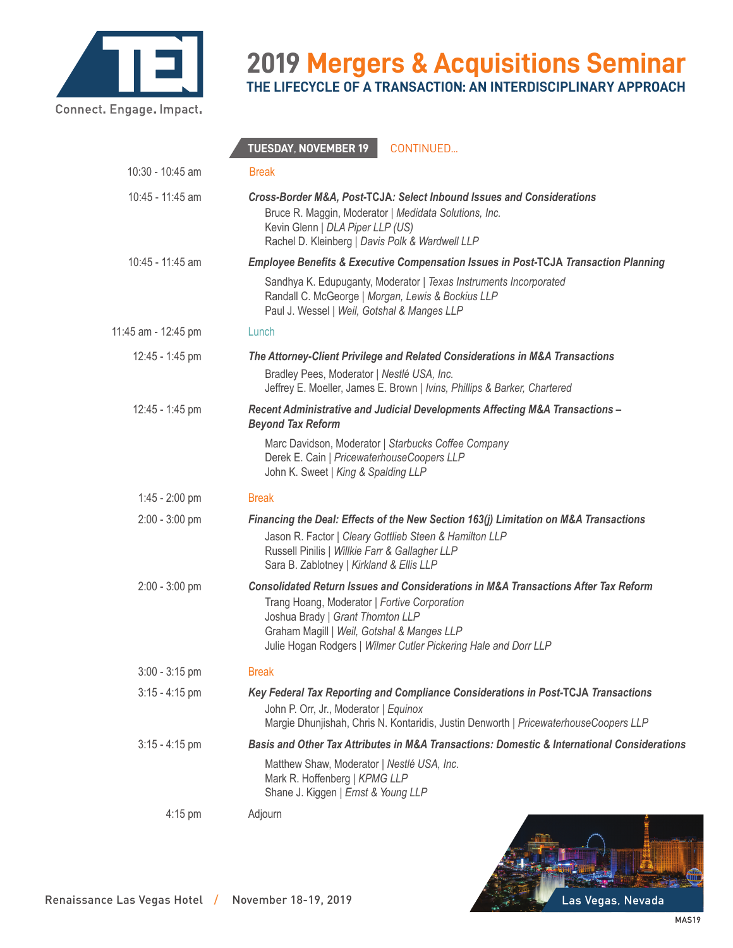

# **2019 Mergers & Acquisitions Seminar**

**THE LIFECYCLE OF A TRANSACTION: AN INTERDISCIPLINARY APPROACH**

|                     | <b>TUESDAY, NOVEMBER 19</b><br>CONTINUED                                                                                                                                                                                                                                                 |
|---------------------|------------------------------------------------------------------------------------------------------------------------------------------------------------------------------------------------------------------------------------------------------------------------------------------|
| 10:30 - 10:45 am    | <b>Break</b>                                                                                                                                                                                                                                                                             |
| 10:45 - 11:45 am    | Cross-Border M&A, Post-TCJA: Select Inbound Issues and Considerations<br>Bruce R. Maggin, Moderator   Medidata Solutions, Inc.<br>Kevin Glenn   DLA Piper LLP (US)<br>Rachel D. Kleinberg   Davis Polk & Wardwell LLP                                                                    |
| 10:45 - 11:45 am    | <b>Employee Benefits &amp; Executive Compensation Issues in Post-TCJA Transaction Planning</b>                                                                                                                                                                                           |
|                     | Sandhya K. Edupuganty, Moderator   Texas Instruments Incorporated<br>Randall C. McGeorge   Morgan, Lewis & Bockius LLP<br>Paul J. Wessel   Weil, Gotshal & Manges LLP                                                                                                                    |
| 11:45 am - 12:45 pm | Lunch                                                                                                                                                                                                                                                                                    |
| 12:45 - 1:45 pm     | The Attorney-Client Privilege and Related Considerations in M&A Transactions<br>Bradley Pees, Moderator   Nestlé USA, Inc.<br>Jeffrey E. Moeller, James E. Brown   Ivins, Phillips & Barker, Chartered                                                                                   |
| 12:45 - 1:45 pm     | Recent Administrative and Judicial Developments Affecting M&A Transactions -<br><b>Beyond Tax Reform</b>                                                                                                                                                                                 |
|                     | Marc Davidson, Moderator   Starbucks Coffee Company<br>Derek E. Cain   PricewaterhouseCoopers LLP<br>John K. Sweet   King & Spalding LLP                                                                                                                                                 |
| $1:45 - 2:00$ pm    | <b>Break</b>                                                                                                                                                                                                                                                                             |
| $2:00 - 3:00$ pm    | Financing the Deal: Effects of the New Section 163(j) Limitation on M&A Transactions<br>Jason R. Factor   Cleary Gottlieb Steen & Hamilton LLP<br>Russell Pinilis   Willkie Farr & Gallagher LLP<br>Sara B. Zablotney   Kirkland & Ellis LLP                                             |
| 2:00 - 3:00 pm      | Consolidated Return Issues and Considerations in M&A Transactions After Tax Reform<br>Trang Hoang, Moderator   Fortive Corporation<br>Joshua Brady   Grant Thornton LLP<br>Graham Magill   Weil, Gotshal & Manges LLP<br>Julie Hogan Rodgers   Wilmer Cutler Pickering Hale and Dorr LLP |
| $3:00 - 3:15$ pm    | <b>Break</b>                                                                                                                                                                                                                                                                             |
| $3:15 - 4:15$ pm    | Key Federal Tax Reporting and Compliance Considerations in Post-TCJA Transactions<br>John P. Orr, Jr., Moderator   Equinox<br>Margie Dhunjishah, Chris N. Kontaridis, Justin Denworth   PricewaterhouseCoopers LLP                                                                       |
| $3:15 - 4:15$ pm    | Basis and Other Tax Attributes in M&A Transactions: Domestic & International Considerations<br>Matthew Shaw, Moderator   Nestlé USA, Inc.<br>Mark R. Hoffenberg   KPMG LLP<br>Shane J. Kiggen   Ernst & Young LLP                                                                        |
| $4:15$ pm           | Adjourn                                                                                                                                                                                                                                                                                  |
|                     |                                                                                                                                                                                                                                                                                          |

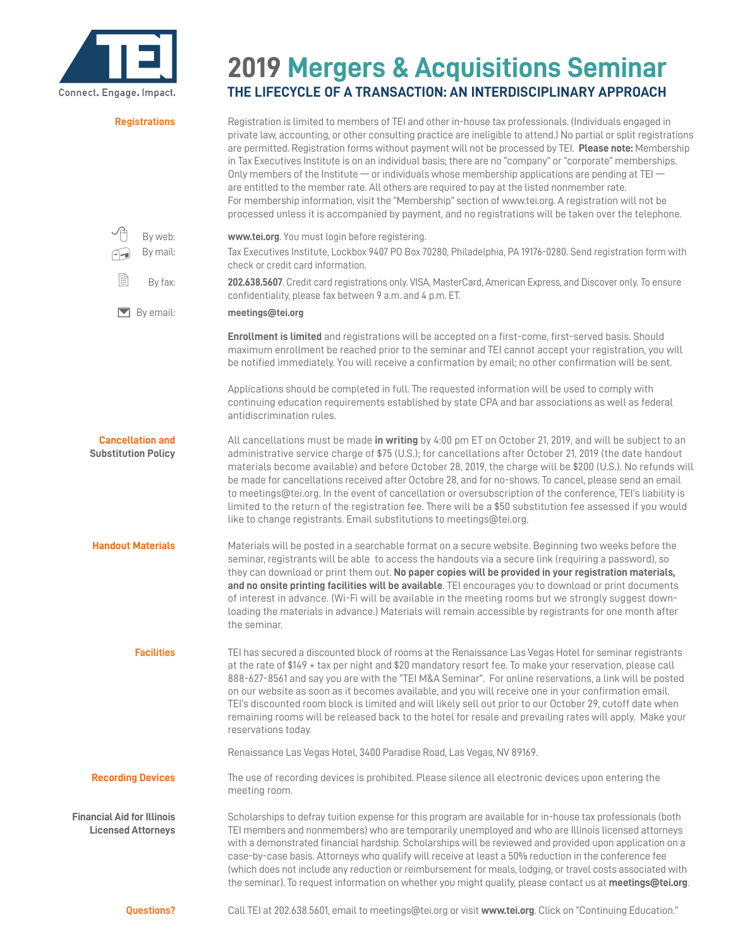

## **2019 Mergers & Acquisitions Seminar THE LIFECYCLE OF A TRANSACTION: AN INTERDISCIPLINARY APPROACH**

| <b>Registrations</b>                                           | Registration is limited to members of TEI and other in-house tax professionals. (Individuals engaged in<br>private law, accounting, or other consulting practice are ineligible to attend.) No partial or split registrations<br>are permitted. Registration forms without payment will not be processed by TEI. Please note: Membership<br>in Tax Executives Institute is on an individual basis; there are no "company" or "corporate" memberships.<br>Only members of the Institute — or individuals whose membership applications are pending at TEI —<br>are entitled to the member rate. All others are required to pay at the listed nonmember rate.<br>For membership information, visit the "Membership" section of www.tei.org. A registration will not be<br>processed unless it is accompanied by payment, and no registrations will be taken over the telephone. |
|----------------------------------------------------------------|-------------------------------------------------------------------------------------------------------------------------------------------------------------------------------------------------------------------------------------------------------------------------------------------------------------------------------------------------------------------------------------------------------------------------------------------------------------------------------------------------------------------------------------------------------------------------------------------------------------------------------------------------------------------------------------------------------------------------------------------------------------------------------------------------------------------------------------------------------------------------------|
| By web:                                                        | www.tei.org. You must login before registering.                                                                                                                                                                                                                                                                                                                                                                                                                                                                                                                                                                                                                                                                                                                                                                                                                               |
| By mail:                                                       | Tax Executives Institute, Lockbox 9407 PO Box 70280, Philadelphia, PA 19176-0280. Send registration form with<br>check or credit card information.                                                                                                                                                                                                                                                                                                                                                                                                                                                                                                                                                                                                                                                                                                                            |
| l<br>By fax:                                                   | 202.638.5607. Credit card registrations only. VISA, MasterCard, American Express, and Discover only. To ensure<br>confidentiality, please fax between 9 a.m. and 4 p.m. ET.                                                                                                                                                                                                                                                                                                                                                                                                                                                                                                                                                                                                                                                                                                   |
| $\blacksquare$ By email:                                       | meetings@tei.org                                                                                                                                                                                                                                                                                                                                                                                                                                                                                                                                                                                                                                                                                                                                                                                                                                                              |
|                                                                | Enrollment is limited and registrations will be accepted on a first-come, first-served basis. Should<br>maximum enrollment be reached prior to the seminar and TEI cannot accept your registration, you will<br>be notified immediately. You will receive a confirmation by email; no other confirmation will be sent.                                                                                                                                                                                                                                                                                                                                                                                                                                                                                                                                                        |
|                                                                | Applications should be completed in full. The requested information will be used to comply with<br>continuing education requirements established by state CPA and bar associations as well as federal<br>antidiscrimination rules.                                                                                                                                                                                                                                                                                                                                                                                                                                                                                                                                                                                                                                            |
| <b>Cancellation and</b><br><b>Substitution Policy</b>          | All cancellations must be made in writing by 4:00 pm ET on October 21, 2019, and will be subject to an<br>administrative service charge of \$75 (U.S.); for cancellations after October 21, 2019 (the date handout<br>materials become available) and before October 28, 2019, the charge will be \$200 (U.S.). No refunds will<br>be made for cancellations received after Octobre 28, and for no-shows. To cancel, please send an email<br>to meetings@tei.org. In the event of cancellation or oversubscription of the conference, TEI's liability is<br>limited to the return of the registration fee. There will be a \$50 substitution fee assessed if you would<br>like to change registrants. Email substitutions to meetings@tei.org.                                                                                                                                |
| <b>Handout Materials</b>                                       | Materials will be posted in a searchable format on a secure website. Beginning two weeks before the<br>seminar, registrants will be able to access the handouts via a secure link (requiring a password), so<br>they can download or print them out. No paper copies will be provided in your registration materials,<br>and no onsite printing facilities will be available. TEI encourages you to download or print documents<br>of interest in advance. (Wi-Fi will be available in the meeting rooms but we strongly suggest down-<br>loading the materials in advance.) Materials will remain accessible by registrants for one month after<br>the seminar.                                                                                                                                                                                                              |
| <b>Facilities</b>                                              | TEI has secured a discounted block of rooms at the Renaissance Las Vegas Hotel for seminar registrants<br>at the rate of \$149 + tax per night and \$20 mandatory resort fee. To make your reservation, please call<br>888-627-8561 and say you are with the "TEI M&A Seminar". For online reservations, a link will be posted<br>on our website as soon as it becomes available, and you will receive one in your confirmation email.<br>TEI's discounted room block is limited and will likely sell out prior to our October 29, cutoff date when<br>remaining rooms will be released back to the hotel for resale and prevailing rates will apply. Make your<br>reservations today.                                                                                                                                                                                        |
|                                                                | Renaissance Las Vegas Hotel, 3400 Paradise Road, Las Vegas, NV 89169.                                                                                                                                                                                                                                                                                                                                                                                                                                                                                                                                                                                                                                                                                                                                                                                                         |
| <b>Recording Devices</b>                                       | The use of recording devices is prohibited. Please silence all electronic devices upon entering the<br>meeting room.                                                                                                                                                                                                                                                                                                                                                                                                                                                                                                                                                                                                                                                                                                                                                          |
| <b>Financial Aid for Illinois</b><br><b>Licensed Attorneys</b> | Scholarships to defray tuition expense for this program are available for in-house tax professionals (both<br>TEI members and nonmembers) who are temporarily unemployed and who are Illinois licensed attorneys<br>with a demonstrated financial hardship. Scholarships will be reviewed and provided upon application on a<br>case-by-case basis. Attorneys who qualify will receive at least a 50% reduction in the conference fee<br>(which does not include any reduction or reimbursement for meals, lodging, or travel costs associated with<br>the seminar). To request information on whether you might qualify, please contact us at meetings@tei.org.                                                                                                                                                                                                              |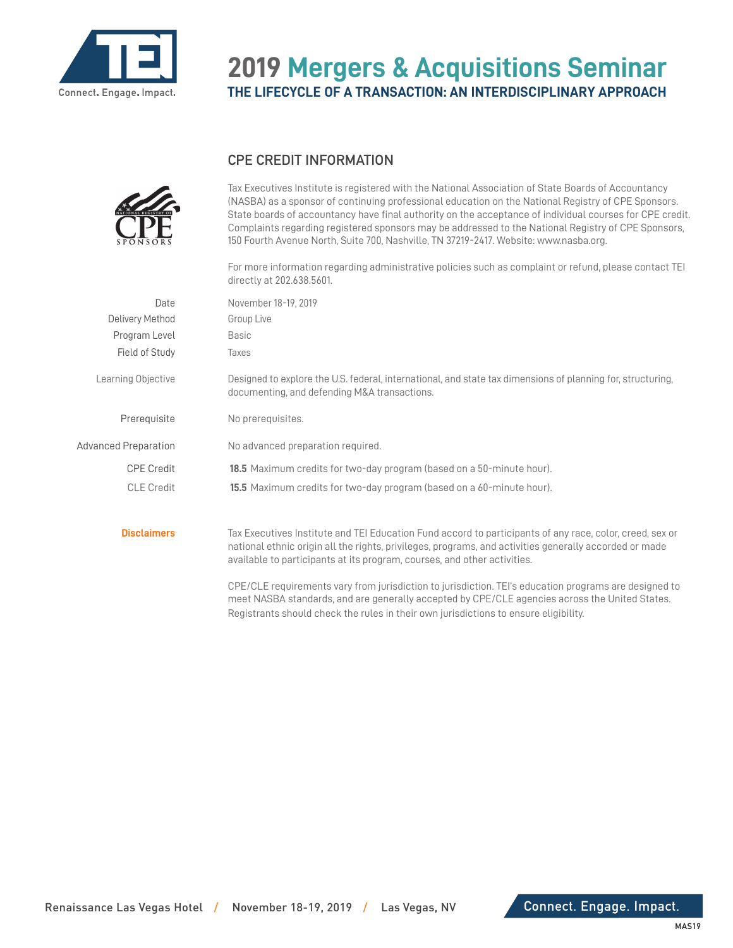

### **2019 Mergers & Acquisitions Seminar THE LIFECYCLE OF A TRANSACTION: AN INTERDISCIPLINARY APPROACH**

#### **CPE CREDIT INFORMATION**



 For more information regarding administrative policies such as complaint or refund, please contact TEI directly at 202.638.5601.

| Date                        | November 18-19, 2019                                                                                                                                                                                                                                                                           |
|-----------------------------|------------------------------------------------------------------------------------------------------------------------------------------------------------------------------------------------------------------------------------------------------------------------------------------------|
| Delivery Method             | Group Live                                                                                                                                                                                                                                                                                     |
| Program Level               | Basic                                                                                                                                                                                                                                                                                          |
| Field of Study              | Taxes                                                                                                                                                                                                                                                                                          |
| Learning Objective          | Designed to explore the U.S. federal, international, and state tax dimensions of planning for, structuring,<br>documenting, and defending M&A transactions.                                                                                                                                    |
| Prerequisite                | No prerequisites.                                                                                                                                                                                                                                                                              |
| <b>Advanced Preparation</b> | No advanced preparation required.                                                                                                                                                                                                                                                              |
| <b>CPE Credit</b>           | <b>18.5</b> Maximum credits for two-day program (based on a 50-minute hour).                                                                                                                                                                                                                   |
| <b>CLE</b> Credit           | <b>15.5</b> Maximum credits for two-day program (based on a 60-minute hour).                                                                                                                                                                                                                   |
| <b>Disclaimers</b>          | Tax Executives Institute and TEI Education Fund accord to participants of any race, color, creed, sex or<br>national ethnic origin all the rights, privileges, programs, and activities generally accorded or made<br>available to participants at its program, courses, and other activities. |

 CPE/CLE requirements vary from jurisdiction to jurisdiction. TEI's education programs are designed to meet NASBA standards, and are generally accepted by CPE/CLE agencies across the United States. Registrants should check the rules in their own jurisdictions to ensure eligibility.